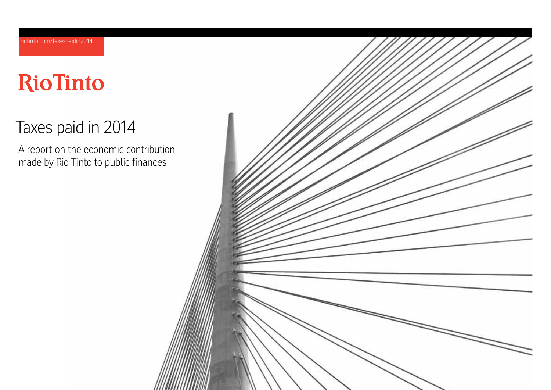# **RioTinto**

# Taxes paid in 2014

A report on the economic contribution made by Rio Tinto to public finances

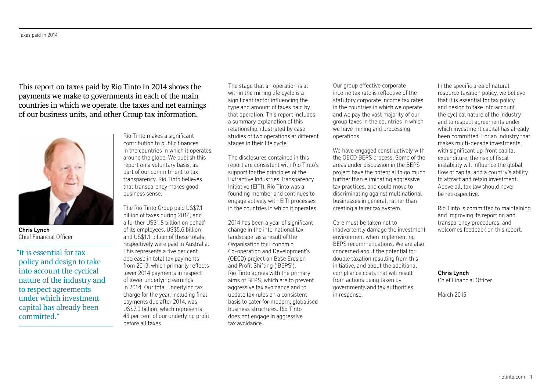This report on taxes paid by Rio Tinto in 2014 shows the payments we make to governments in each of the main countries in which we operate, the taxes and net earnings of our business units, and other Group tax information.



**Chris Lynch** Chief Financial Officer

"It is essential for tax policy and design to take into account the cyclical nature of the industry and to respect agreements under which investment capital has already been committed."

Rio Tinto makes a significant contribution to public finances in the countries in which it operates around the globe. We publish this report on a voluntary basis, as part of our commitment to tax transparency. Rio Tinto believes that transparency makes good business sense.

The Rio Tinto Group paid US\$7.1 billion of taxes during 2014, and a further US\$1.8 billion on behalf of its employees. US\$5.6 billion and US\$1.1 billion of these totals respectively were paid in Australia. This represents a five per cent decrease in total tax payments from 2013, which primarily reflects lower 2014 payments in respect of lower underlying earnings in 2014. Our total underlying tax charge for the year, including final payments due after 2014, was US\$7.0 billion, which represents 43 per cent of our underlying profit before all taxes.

The stage that an operation is at within the mining life cycle is a significant factor influencing the type and amount of taxes paid by that operation. This report includes a summary explanation of this relationship, illustrated by case studies of two operations at different stages in their life cycle.

The disclosures contained in this report are consistent with Rio Tinto's support for the principles of the Extractive Industries Transparency Initiative (EITI). Rio Tinto was a founding member and continues to engage actively with EITI processes in the countries in which it operates.

2014 has been a year of significant change in the international tax landscape, as a result of the Organisation for Economic Co-operation and Development's (OECD) project on Base Erosion and Profit Shifting ('BEPS'). Rio Tinto agrees with the primary aims of BEPS, which are to prevent aggressive tax avoidance and to update tax rules on a consistent basis to cater for modern, globalised business structures. Rio Tinto does not engage in aggressive tax avoidance.

Our group effective corporate income tax rate is reflective of the statutory corporate income tax rates in the countries in which we operate and we pay the vast majority of our group taxes in the countries in which we have mining and processing operations.

We have engaged constructively with the OECD BEPS process. Some of the areas under discussion in the BEPS project have the potential to go much further than eliminating aggressive tax practices, and could move to discriminating against multinational businesses in general, rather than creating a fairer tax system.

Care must be taken not to inadvertently damage the investment environment when implementing BEPS recommendations. We are also concerned about the potential for double taxation resulting from this initiative, and about the additional compliance costs that will result from actions being taken by governments and tax authorities in response.

In the specific area of natural resource taxation policy, we believe that it is essential for tax policy and design to take into account the cyclical nature of the industry and to respect agreements under which investment capital has already been committed. For an industry that makes multi-decade investments, with significant up-front capital expenditure, the risk of fiscal instability will influence the global flow of capital and a country's ability to attract and retain investment. Above all, tax law should never be retrospective.

Rio Tinto is committed to maintaining and improving its reporting and transparency procedures, and welcomes feedback on this report.

**Chris Lynch** Chief Financial Officer

March 2015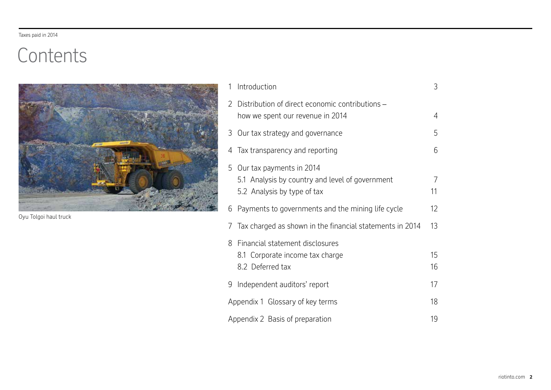# **Contents**



Oyu Tolgoi haul truck

| 1             | Introduction                                                                                               | 3        |
|---------------|------------------------------------------------------------------------------------------------------------|----------|
| $\mathcal{P}$ | Distribution of direct economic contributions -<br>how we spent our revenue in 2014                        | 4        |
| 3             | Our tax strategy and governance                                                                            | 5        |
| 4             | Tax transparency and reporting                                                                             | 6        |
| 5             | Our tax payments in 2014<br>5.1 Analysis by country and level of government<br>5.2 Analysis by type of tax | 7<br>11  |
| 6             | Payments to governments and the mining life cycle                                                          | 12       |
| 7             | Tax charged as shown in the financial statements in 2014                                                   | 13       |
| 8             | Financial statement disclosures<br>8.1 Corporate income tax charge<br>8.2 Deferred tax                     | 15<br>16 |
| 9.            | Independent auditors' report                                                                               | 17       |
|               | Appendix 1 Glossary of key terms                                                                           | 18       |
|               | Appendix 2 Basis of preparation                                                                            | 19       |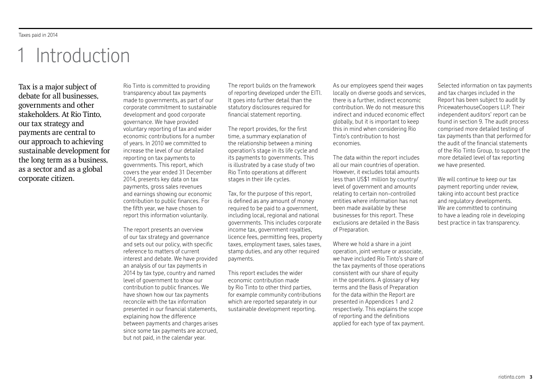# 1 Introduction

Tax is a major subject of debate for all businesses, governments and other stakeholders. At Rio Tinto, our tax strategy and payments are central to our approach to achieving sustainable development for the long term as a business, as a sector and as a global corporate citizen.

Rio Tinto is committed to providing transparency about tax payments made to governments, as part of our corporate commitment to sustainable development and good corporate governance. We have provided voluntary reporting of tax and wider economic contributions for a number of years. In 2010 we committed to increase the level of our detailed reporting on tax payments to governments. This report, which covers the year ended 31 December 2014, presents key data on tax payments, gross sales revenues and earnings showing our economic contribution to public finances. For the fifth year, we have chosen to report this information voluntarily.

The report presents an overview of our tax strategy and governance and sets out our policy, with specific reference to matters of current interest and debate. We have provided an analysis of our tax payments in 2014 by tax type, country and named level of government to show our contribution to public finances. We have shown how our tax payments reconcile with the tax information presented in our financial statements, explaining how the difference between payments and charges arises since some tax payments are accrued, but not paid, in the calendar year.

The report builds on the framework of reporting developed under the EITI. It goes into further detail than the statutory disclosures required for financial statement reporting.

The report provides, for the first time, a summary explanation of the relationship between a mining operation's stage in its life cycle and its payments to governments. This is illustrated by a case study of two Rio Tinto operations at different stages in their life cycles.

Tax, for the purpose of this report, is defined as any amount of money required to be paid to a government. including local, regional and national governments. This includes corporate income tax, government royalties, licence fees, permitting fees, property taxes, employment taxes, sales taxes, stamp duties, and any other required payments.

This report excludes the wider economic contribution made by Rio Tinto to other third parties, for example community contributions which are reported separately in our sustainable development reporting.

As our employees spend their wages locally on diverse goods and services, there is a further, indirect economic contribution. We do not measure this indirect and induced economic effect globally, but it is important to keep this in mind when considering Rio Tinto's contribution to host economies.

The data within the report includes all our main countries of operation. However, it excludes total amounts less than US\$1 million by country/ level of government and amounts relating to certain non-controlled entities where information has not been made available by these businesses for this report. These exclusions are detailed in the Basis of Preparation.

Where we hold a share in a joint operation, joint venture or associate, we have included Rio Tinto's share of the tax payments of those operations consistent with our share of equity in the operations. A glossary of key terms and the Basis of Preparation for the data within the Report are presented in Appendices 1 and 2 respectively. This explains the scope of reporting and the definitions applied for each type of tax payment.

Selected information on tax payments and tax charges included in the Report has been subject to audit by PricewaterhouseCoopers LLP. Their independent auditors' report can be found in section 9. The audit process comprised more detailed testing of tax payments than that performed for the audit of the financial statements of the Rio Tinto Group, to support the more detailed level of tax reporting we have presented.

We will continue to keep our tax payment reporting under review, taking into account best practice and regulatory developments. We are committed to continuing to have a leading role in developing best practice in tax transparency.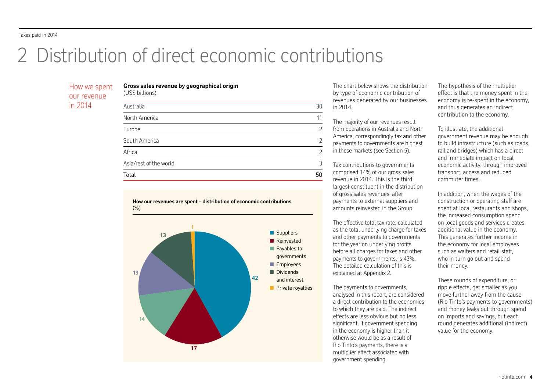# 2 Distribution of direct economic contributions

**Gross sales revenue by geographical origin**

(US\$ billions)

# How we spent our revenue in 2014

| $1004$ property        |                |
|------------------------|----------------|
| Australia              | 30             |
| North America          | 11             |
| Europe                 | $\overline{2}$ |
| South America          | $\overline{2}$ |
| Africa                 | $\overline{2}$ |
| Asia/rest of the world | 3              |
| Total                  | 50             |





The chart below shows the distribution by type of economic contribution of revenues generated by our businesses in 2014.

The majority of our revenues result from operations in Australia and North America; correspondingly tax and other payments to governments are highest in these markets (see Section 5).

Tax contributions to governments comprised 14% of our gross sales revenue in 2014. This is the third largest constituent in the distribution of gross sales revenues, after payments to external suppliers and amounts reinvested in the Group.

The effective total tax rate, calculated as the total underlying charge for taxes and other payments to governments for the year on underlying profits before all charges for taxes and other payments to governments, is 43%. The detailed calculation of this is explained at Appendix 2.

The payments to governments, analysed in this report, are considered a direct contribution to the economies to which they are paid. The indirect effects are less obvious but no less significant. If government spending in the economy is higher than it otherwise would be as a result of Rio Tinto's payments, there is a multiplier effect associated with government spending.

The hypothesis of the multiplier effect is that the money spent in the economy is re-spent in the economy, and thus generates an indirect contribution to the economy.

To illustrate, the additional government revenue may be enough to build infrastructure (such as roads, rail and bridges) which has a direct and immediate impact on local economic activity, through improved transport, access and reduced commuter times.

In addition, when the wages of the construction or operating staff are spent at local restaurants and shops, the increased consumption spend on local goods and services creates additional value in the economy. This generates further income in the economy for local employees such as waiters and retail staff, who in turn go out and spend their money.

These rounds of expenditure, or ripple effects, get smaller as you move further away from the cause (Rio Tinto's payments to governments) and money leaks out through spend on imports and savings, but each round generates additional (indirect) value for the economy.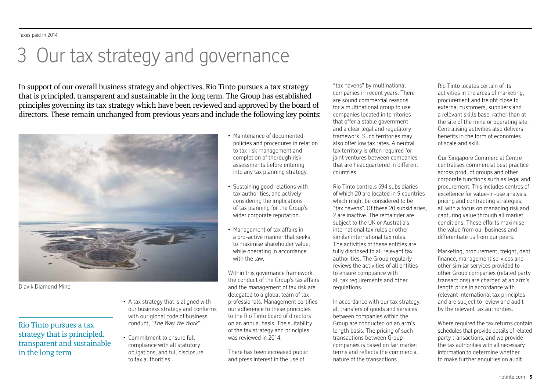# 3 Our tax strategy and governance

In support of our overall business strategy and objectives, Rio Tinto pursues a tax strategy that is principled, transparent and sustainable in the long term. The Group has established principles governing its tax strategy which have been reviewed and approved by the board of directors. These remain unchanged from previous years and include the following key points:



Diavik Diamond Mine

# Rio Tinto pursues a tax strategy that is principled, transparent and sustainable in the long term

- A tax strategy that is aligned with our business strategy and conforms with our global code of business conduct, *"The Way We Work".*
- Commitment to ensure full compliance with all statutory obligations, and full disclosure to tax authorities.
- Maintenance of documented policies and procedures in relation to tax risk management and completion of thorough risk assessments before entering into any tax planning strategy.
- Sustaining good relations with tax authorities, and actively considering the implications of tax planning for the Group's wider corporate reputation.
- Management of tax affairs in a pro-active manner that seeks to maximise shareholder value, while operating in accordance with the law.

Within this governance framework, the conduct of the Group's tax affairs and the management of tax risk are delegated to a global team of tax professionals. Management certifies our adherence to these principles to the Rio Tinto board of directors on an annual basis. The suitability of the tax strategy and principles was reviewed in 2014.

There has been increased public and press interest in the use of

"tax havens" by multinational companies in recent years. There are sound commercial reasons for a multinational group to use companies located in territories that offer a stable government and a clear legal and regulatory framework. Such territories may also offer low tax rates. A neutral tax territory is often required for joint ventures between companies that are headquartered in different countries.

Rio Tinto controls 594 subsidiaries of which 20 are located in 9 countries which might be considered to be "tax havens". Of these 20 subsidiaries, 2 are inactive. The remainder are subject to the UK or Australia's international tax rules or other similar international tax rules. The activities of these entities are fully disclosed to all relevant tax authorities. The Group regularly reviews the activities of all entities to ensure compliance with all tax requirements and other regulations.

In accordance with our tax strategy, all transfers of goods and services between companies within the Group are conducted on an arm's length basis. The pricing of such transactions between Group companies is based on fair market terms and reflects the commercial nature of the transactions.

Rio Tinto locates certain of its activities in the areas of marketing, procurement and freight close to external customers, suppliers and a relevant skills base, rather than at the site of the mine or operating site. Centralising activities also delivers benefits in the form of economies of scale and skill.

Our Singapore Commercial Centre centralises commercial best practice across product groups and other corporate functions such as legal and procurement. This includes centres of excellence for value-in-use analysis, pricing and contracting strategies, all with a focus on managing risk and capturing value through all market conditions. These efforts maximise the value from our business and differentiate us from our peers.

Marketing, procurement, freight, debt finance, management services and other similar services provided to other Group companies (related party transactions) are charged at an arm's length price in accordance with relevant international tax principles and are subject to review and audit by the relevant tax authorities.

Where required the tax returns contain schedules that provide details of related party transactions, and we provide the tax authorities with all necessary information to determine whether to make further enquiries on audit.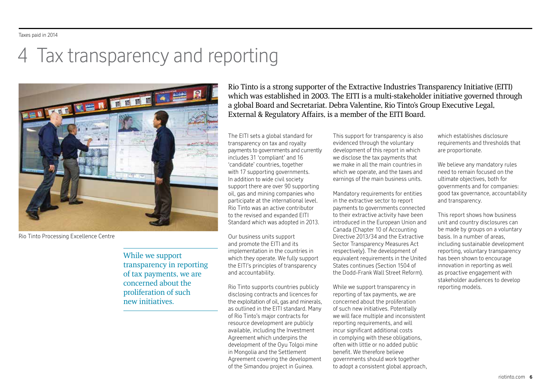# 4 Tax transparency and reporting



Rio Tinto Processing Excellence Centre

While we support transparency in reporting of tax payments, we are concerned about the proliferation of such new initiatives.

Rio Tinto is a strong supporter of the Extractive Industries Transparency Initiative (EITI) which was established in 2003. The EITI is a multi-stakeholder initiative governed through a global Board and Secretariat. Debra Valentine, Rio Tinto's Group Executive Legal, External & Regulatory Affairs, is a member of the EITI Board.

The EITI sets a global standard for transparency on tax and royalty payments to governments and currently includes 31 'compliant' and 16 'candidate' countries, together with 17 supporting governments. In addition to wide civil society support there are over 90 supporting oil, gas and mining companies who participate at the international level. Rio Tinto was an active contributor to the revised and expanded EITI Standard which was adopted in 2013.

Our business units support and promote the EITI and its implementation in the countries in which they operate. We fully support the EITI's principles of transparency and accountability.

Rio Tinto supports countries publicly disclosing contracts and licences for the exploitation of oil, gas and minerals, as outlined in the EITI standard. Many of Rio Tinto's major contracts for resource development are publicly available, including the Investment Agreement which underpins the development of the Oyu Tolgoi mine in Mongolia and the Settlement Agreement covering the development of the Simandou project in Guinea.

This support for transparency is also evidenced through the voluntary development of this report in which we disclose the tax payments that we make in all the main countries in which we operate, and the taxes and earnings of the main business units.

Mandatory requirements for entities in the extractive sector to report payments to governments connected to their extractive activity have been introduced in the European Union and Canada (Chapter 10 of Accounting Directive 2013/34 and the Extractive Sector Transparency Measures Act respectively). The development of equivalent requirements in the United States continues (Section 1504 of the Dodd-Frank Wall Street Reform).

While we support transparency in reporting of tax payments, we are concerned about the proliferation of such new initiatives. Potentially we will face multiple and inconsistent reporting requirements, and will incur significant additional costs in complying with these obligations, often with little or no added public benefit. We therefore believe governments should work together to adopt a consistent global approach, which establishes disclosure requirements and thresholds that are proportionate.

We believe any mandatory rules need to remain focused on the ultimate objectives, both for governments and for companies: good tax governance, accountability and transparency.

This report shows how business unit and country disclosures can be made by groups on a voluntary basis. In a number of areas, including sustainable development reporting, voluntary transparency has been shown to encourage innovation in reporting as well as proactive engagement with stakeholder audiences to develop reporting models.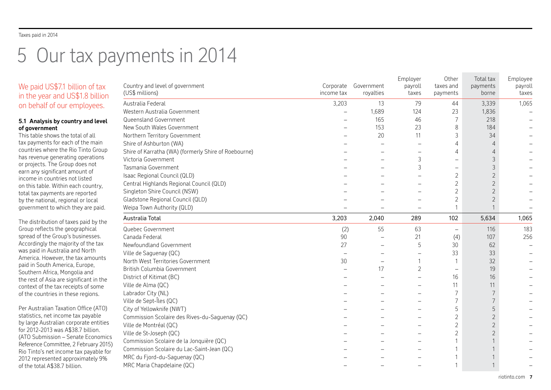# 5 Our tax payments in 2014

# We paid US\$7.1 billion of tax in the year and US\$1.8 billion on behalf of our employees.

# **5.1 Analysis by country and level of government**

This table shows the total of all tax payments for each of the main countries where the Rio Tinto Group has revenue generating operations or projects. The Group does not earn any significant amount of income in countries not listed on this table. Within each country, total tax payments are reported by the national, regional or local government to which they are paid.

The distribution of taxes paid by the Group reflects the geographical spread of the Group's businesses. Accordingly the majority of the tax was paid in Australia and North America. However, the tax amounts paid in South America, Europe, Southern Africa, Mongolia and the rest of Asia are significant in the context of the tax receipts of some of the countries in these regions.

Per Australian Taxation Office (ATO) statistics, net income tax payable by large Australian corporate entities for 2012-2013 was A\$38.7 billion. (ATO Submission - Senate Economic Reference Committee, 2 February 201! Rio Tinto's net income tax payable for 2012 represented approximately 9% of the total A\$38.7 billion.

| Country and level of government<br>(US\$ millions)   | Corporate<br>income tax | Government<br>royalties | Employer<br>payroll<br>taxes | Other<br>taxes and<br>payments | Total tax<br>payments<br>borne | Employee<br>payroll<br>taxes |
|------------------------------------------------------|-------------------------|-------------------------|------------------------------|--------------------------------|--------------------------------|------------------------------|
| Australia Federal                                    | 3,203                   | 13                      | 79                           | 44                             | 3,339                          | 1,065                        |
| Western Australia Government                         |                         | 1,689                   | 124                          | 23                             | 1,836                          |                              |
| Queensland Government                                |                         | 165                     | 46                           | 7                              | 218                            |                              |
| New South Wales Government                           |                         | 153                     | 23                           | 8                              | 184                            |                              |
| Northern Territory Government                        |                         | 20                      | 11                           | 3                              | 34                             |                              |
| Shire of Ashburton (WA)                              |                         |                         |                              |                                | 4                              |                              |
| Shire of Karratha (WA) (formerly Shire of Roebourne) |                         |                         |                              | 4                              |                                |                              |
| Victoria Government                                  |                         |                         | 3                            |                                | 3                              |                              |
| Tasmania Government                                  |                         |                         | 3                            | $\overline{\phantom{0}}$       | 3                              |                              |
| Isaac Regional Council (QLD)                         |                         |                         |                              | 2                              | $\overline{2}$                 |                              |
| Central Highlands Regional Council (QLD)             |                         |                         |                              | 2                              | $\overline{2}$                 |                              |
| Singleton Shire Council (NSW)                        |                         |                         |                              | 2                              | $\overline{2}$                 |                              |
| Gladstone Regional Council (QLD)                     |                         |                         |                              | 2                              | $\overline{2}$                 |                              |
| Weipa Town Authority (QLD)                           |                         |                         |                              |                                |                                |                              |
| Australia Total                                      | 3,203                   | 2,040                   | 289                          | 102                            | 5,634                          | 1,065                        |
| Quebec Government                                    | (2)                     | 55                      | 63                           | $\overline{\phantom{0}}$       | 116                            | 183                          |
| Canada Federal                                       | 90                      |                         | 21                           | (4)                            | 107                            | 256                          |
| Newfoundland Government                              | 27                      |                         | 5                            | 30                             | 62                             |                              |
| Ville de Saguenay (QC)                               |                         |                         |                              | 33                             | 33                             |                              |
| North West Territories Government                    | 30                      |                         |                              |                                | 32                             |                              |
| British Columbia Government                          |                         | 17                      | 2                            |                                | 19                             |                              |
| District of Kitimat (BC)                             |                         |                         |                              | 16                             | 16                             |                              |
| Ville de Alma (QC)                                   |                         |                         |                              | 11                             | 11                             |                              |
| Labrador City (NL)                                   |                         |                         |                              |                                |                                |                              |
| Ville de Sept-Îles (QC)                              |                         |                         |                              | 7                              |                                |                              |
| City of Yellowknife (NWT)                            |                         |                         |                              | 5                              | 5                              |                              |
| Commission Scolaire des Rives-du-Saguenay (QC)       |                         |                         |                              | 2                              | $\overline{2}$                 |                              |
| Ville de Montréal (QC)                               |                         |                         |                              | 2                              | $\overline{2}$                 |                              |
| Ville de St-Joseph (QC)                              |                         |                         |                              | $\overline{2}$                 | $\overline{2}$                 |                              |
| Commission Scolaire de la Jonquière (QC)             |                         |                         |                              |                                |                                |                              |
| Commission Scolaire du Lac-Saint-Jean (QC)           |                         |                         |                              |                                |                                |                              |
| MRC du Fjord-du-Saguenay (QC)                        |                         |                         |                              |                                |                                |                              |
| MRC Maria Chapdelaine (QC)                           |                         |                         |                              |                                |                                |                              |
|                                                      |                         |                         |                              |                                |                                |                              |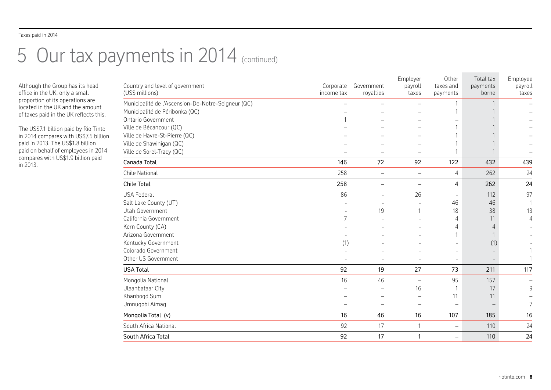# 5 Our tax payments in 2014 (continued)

Although the Group has its head office in the UK, only a small proportion of its operations are located in the UK and the amount of taxes paid in the UK reflects this.

The US\$7.1 billion paid by Rio Tinto in 2014 compares with US\$7.5 billion paid in 2013. The US\$1.8 billion paid on behalf of employees in 2014 compares with US\$1.9 billion paid in 2013.

| Corporate<br>payroll<br>payments<br>(US\$ millions)<br>royalties<br>income tax<br>borne<br>taxes<br>payments<br>Municipalité de l'Ascension-De-Notre-Seigneur (QC)<br>Municipalité de Péribonka (QC)<br>Ontario Government<br>Ville de Bécancour (QC)<br>Ville de Havre-St-Pierre (QC)<br>Ville de Shawinigan (QC)<br>Ville de Sorel-Tracy (QC)<br>146<br>72<br>122<br>92<br>432<br>Canada Total<br>258<br>262<br>Chile National<br>$\overline{4}$<br>$\overline{\phantom{0}}$<br>$\overline{\phantom{0}}$<br>Chile Total<br>258<br>4<br>262<br>$\qquad \qquad -$<br>$\overline{\phantom{0}}$<br>86<br><b>USA Federal</b><br>26<br>112<br>46<br>Salt Lake County (UT)<br>46<br>Utah Government<br>19<br>38<br>18<br>1<br>California Government<br>7<br>11<br>4<br>Kern County (CA)<br>4<br>4<br>Arizona Government<br>Kentucky Government<br>(1)<br>(1)<br>Colorado Government<br>Other US Government<br>92<br><b>USA Total</b><br>19<br>27<br>73<br>211<br>16<br>46<br>95<br>Mongolia National<br>157<br>÷<br>Ulaanbataar City<br>16<br>17<br>Khanbogd Sum<br>11<br>11<br>Umnugobi Aimag<br>16<br>46<br>16<br>107<br>185<br>Mongolia Total (v)<br>92<br>South Africa National<br>17<br>110<br>1<br>$\overline{\phantom{0}}$<br>92<br>17<br>South Africa Total<br>$\mathbf{1}$<br>110<br>$\overline{\phantom{m}}$ | Country and level of government | Government | Employer | Other<br>taxes and | Total tax | Employee         |
|-------------------------------------------------------------------------------------------------------------------------------------------------------------------------------------------------------------------------------------------------------------------------------------------------------------------------------------------------------------------------------------------------------------------------------------------------------------------------------------------------------------------------------------------------------------------------------------------------------------------------------------------------------------------------------------------------------------------------------------------------------------------------------------------------------------------------------------------------------------------------------------------------------------------------------------------------------------------------------------------------------------------------------------------------------------------------------------------------------------------------------------------------------------------------------------------------------------------------------------------------------------------------------------------------------------------|---------------------------------|------------|----------|--------------------|-----------|------------------|
|                                                                                                                                                                                                                                                                                                                                                                                                                                                                                                                                                                                                                                                                                                                                                                                                                                                                                                                                                                                                                                                                                                                                                                                                                                                                                                                   |                                 |            |          |                    |           | payroll<br>taxes |
|                                                                                                                                                                                                                                                                                                                                                                                                                                                                                                                                                                                                                                                                                                                                                                                                                                                                                                                                                                                                                                                                                                                                                                                                                                                                                                                   |                                 |            |          |                    |           |                  |
|                                                                                                                                                                                                                                                                                                                                                                                                                                                                                                                                                                                                                                                                                                                                                                                                                                                                                                                                                                                                                                                                                                                                                                                                                                                                                                                   |                                 |            |          |                    |           |                  |
|                                                                                                                                                                                                                                                                                                                                                                                                                                                                                                                                                                                                                                                                                                                                                                                                                                                                                                                                                                                                                                                                                                                                                                                                                                                                                                                   |                                 |            |          |                    |           |                  |
|                                                                                                                                                                                                                                                                                                                                                                                                                                                                                                                                                                                                                                                                                                                                                                                                                                                                                                                                                                                                                                                                                                                                                                                                                                                                                                                   |                                 |            |          |                    |           |                  |
|                                                                                                                                                                                                                                                                                                                                                                                                                                                                                                                                                                                                                                                                                                                                                                                                                                                                                                                                                                                                                                                                                                                                                                                                                                                                                                                   |                                 |            |          |                    |           |                  |
|                                                                                                                                                                                                                                                                                                                                                                                                                                                                                                                                                                                                                                                                                                                                                                                                                                                                                                                                                                                                                                                                                                                                                                                                                                                                                                                   |                                 |            |          |                    |           |                  |
|                                                                                                                                                                                                                                                                                                                                                                                                                                                                                                                                                                                                                                                                                                                                                                                                                                                                                                                                                                                                                                                                                                                                                                                                                                                                                                                   |                                 |            |          |                    |           |                  |
|                                                                                                                                                                                                                                                                                                                                                                                                                                                                                                                                                                                                                                                                                                                                                                                                                                                                                                                                                                                                                                                                                                                                                                                                                                                                                                                   |                                 |            |          |                    |           | 439              |
|                                                                                                                                                                                                                                                                                                                                                                                                                                                                                                                                                                                                                                                                                                                                                                                                                                                                                                                                                                                                                                                                                                                                                                                                                                                                                                                   |                                 |            |          |                    |           | 24               |
|                                                                                                                                                                                                                                                                                                                                                                                                                                                                                                                                                                                                                                                                                                                                                                                                                                                                                                                                                                                                                                                                                                                                                                                                                                                                                                                   |                                 |            |          |                    |           | 24               |
|                                                                                                                                                                                                                                                                                                                                                                                                                                                                                                                                                                                                                                                                                                                                                                                                                                                                                                                                                                                                                                                                                                                                                                                                                                                                                                                   |                                 |            |          |                    |           | 97               |
|                                                                                                                                                                                                                                                                                                                                                                                                                                                                                                                                                                                                                                                                                                                                                                                                                                                                                                                                                                                                                                                                                                                                                                                                                                                                                                                   |                                 |            |          |                    |           | 1                |
|                                                                                                                                                                                                                                                                                                                                                                                                                                                                                                                                                                                                                                                                                                                                                                                                                                                                                                                                                                                                                                                                                                                                                                                                                                                                                                                   |                                 |            |          |                    |           | 13               |
|                                                                                                                                                                                                                                                                                                                                                                                                                                                                                                                                                                                                                                                                                                                                                                                                                                                                                                                                                                                                                                                                                                                                                                                                                                                                                                                   |                                 |            |          |                    |           | $\overline{4}$   |
|                                                                                                                                                                                                                                                                                                                                                                                                                                                                                                                                                                                                                                                                                                                                                                                                                                                                                                                                                                                                                                                                                                                                                                                                                                                                                                                   |                                 |            |          |                    |           |                  |
|                                                                                                                                                                                                                                                                                                                                                                                                                                                                                                                                                                                                                                                                                                                                                                                                                                                                                                                                                                                                                                                                                                                                                                                                                                                                                                                   |                                 |            |          |                    |           |                  |
|                                                                                                                                                                                                                                                                                                                                                                                                                                                                                                                                                                                                                                                                                                                                                                                                                                                                                                                                                                                                                                                                                                                                                                                                                                                                                                                   |                                 |            |          |                    |           |                  |
|                                                                                                                                                                                                                                                                                                                                                                                                                                                                                                                                                                                                                                                                                                                                                                                                                                                                                                                                                                                                                                                                                                                                                                                                                                                                                                                   |                                 |            |          |                    |           |                  |
|                                                                                                                                                                                                                                                                                                                                                                                                                                                                                                                                                                                                                                                                                                                                                                                                                                                                                                                                                                                                                                                                                                                                                                                                                                                                                                                   |                                 |            |          |                    |           |                  |
|                                                                                                                                                                                                                                                                                                                                                                                                                                                                                                                                                                                                                                                                                                                                                                                                                                                                                                                                                                                                                                                                                                                                                                                                                                                                                                                   |                                 |            |          |                    |           | 117              |
|                                                                                                                                                                                                                                                                                                                                                                                                                                                                                                                                                                                                                                                                                                                                                                                                                                                                                                                                                                                                                                                                                                                                                                                                                                                                                                                   |                                 |            |          |                    |           |                  |
|                                                                                                                                                                                                                                                                                                                                                                                                                                                                                                                                                                                                                                                                                                                                                                                                                                                                                                                                                                                                                                                                                                                                                                                                                                                                                                                   |                                 |            |          |                    |           | 9                |
|                                                                                                                                                                                                                                                                                                                                                                                                                                                                                                                                                                                                                                                                                                                                                                                                                                                                                                                                                                                                                                                                                                                                                                                                                                                                                                                   |                                 |            |          |                    |           |                  |
|                                                                                                                                                                                                                                                                                                                                                                                                                                                                                                                                                                                                                                                                                                                                                                                                                                                                                                                                                                                                                                                                                                                                                                                                                                                                                                                   |                                 |            |          |                    |           | $\overline{7}$   |
|                                                                                                                                                                                                                                                                                                                                                                                                                                                                                                                                                                                                                                                                                                                                                                                                                                                                                                                                                                                                                                                                                                                                                                                                                                                                                                                   |                                 |            |          |                    |           | 16               |
|                                                                                                                                                                                                                                                                                                                                                                                                                                                                                                                                                                                                                                                                                                                                                                                                                                                                                                                                                                                                                                                                                                                                                                                                                                                                                                                   |                                 |            |          |                    |           | 24               |
|                                                                                                                                                                                                                                                                                                                                                                                                                                                                                                                                                                                                                                                                                                                                                                                                                                                                                                                                                                                                                                                                                                                                                                                                                                                                                                                   |                                 |            |          |                    |           | 24               |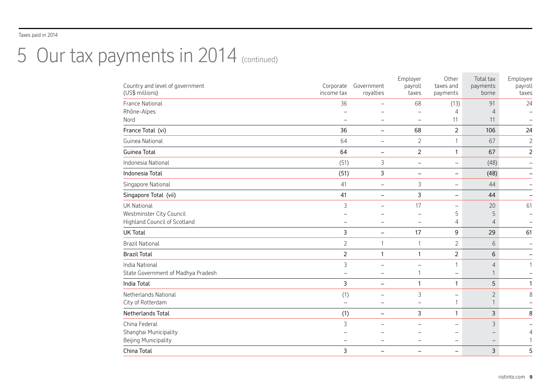# 5 Our tax payments in 2014 (continued)

| Country and level of government<br>(US\$ millions)   | Corporate<br>income tax | Government<br>royalties       | Employer<br>payroll<br>taxes | Other<br>taxes and<br>payments | Total tax<br>payments<br>borne | Employee<br>payroll<br>taxes |
|------------------------------------------------------|-------------------------|-------------------------------|------------------------------|--------------------------------|--------------------------------|------------------------------|
| France National                                      | 36                      |                               | 68                           | (13)                           | 91                             | 24                           |
| Rhône-Alpes<br>Nord                                  |                         |                               |                              | 11                             | 11                             |                              |
| France Total (vi)                                    | 36                      | $\qquad \qquad -$             | 68                           | 2                              | 106                            | 24                           |
| Guinea National                                      | 64                      | $\qquad \qquad -$             | $\overline{2}$               |                                | 67                             | $\overline{a}$               |
| Guinea Total                                         | 64                      | $\qquad \qquad -$             | $\overline{2}$               | 1                              | 67                             | $\overline{a}$               |
| Indonesia National                                   | (51)                    | 3                             | $\overline{\phantom{m}}$     | $\overline{\phantom{m}}$       | (48)                           | $\overline{a}$               |
| Indonesia Total                                      | (51)                    | 3                             | $\overline{\phantom{m}}$     | $\qquad \qquad \blacksquare$   | (48)                           | $\overline{\phantom{0}}$     |
| Singapore National                                   | 41                      | $\overline{\phantom{0}}$      | 3                            | $\overline{\phantom{0}}$       | 44                             | $\overline{\phantom{0}}$     |
| Singapore Total (vii)                                | 41                      | $\overline{\phantom{0}}$      | 3                            |                                | 44                             | $\overline{\phantom{0}}$     |
| UK National<br>Westminster City Council              | 3                       | -                             | 17                           | 5                              | 20<br>5                        | 61                           |
| <b>Highland Council of Scotland</b>                  |                         |                               |                              | 4                              | 4                              |                              |
| UK Total                                             | 3                       |                               | 17                           | 9                              | 29                             | 61                           |
| <b>Brazil National</b>                               | $\overline{2}$          | 1                             | $\mathbf{1}$                 | $\overline{2}$                 | 6                              |                              |
| <b>Brazil Total</b>                                  | $\overline{2}$          | 1                             | 1                            | 2                              | 6                              | $\overline{\phantom{0}}$     |
| India National<br>State Government of Madhya Pradesh | 3                       | -                             | $\mathbf{1}$                 |                                | 4                              | 1                            |
| India Total                                          | 3                       | $\overline{\phantom{0}}$      | 1                            | 1                              | 5                              | $\mathbf{1}$                 |
| Netherlands National<br>City of Rotterdam            | (1)                     | -<br>$\overline{\phantom{0}}$ | 3                            | $\overline{\phantom{0}}$       | $\overline{2}$                 | 8                            |
| Netherlands Total                                    | (1)                     | -                             | 3                            | 1                              | 3                              | 8                            |
| China Federal<br>Shanghai Municipality               | 3                       |                               |                              |                                | 3                              | 4                            |
| Beijing Municipality<br>China Total                  | 3                       | $\overline{\phantom{0}}$      |                              | -                              | 3                              | 1<br>5                       |
|                                                      |                         |                               |                              |                                |                                |                              |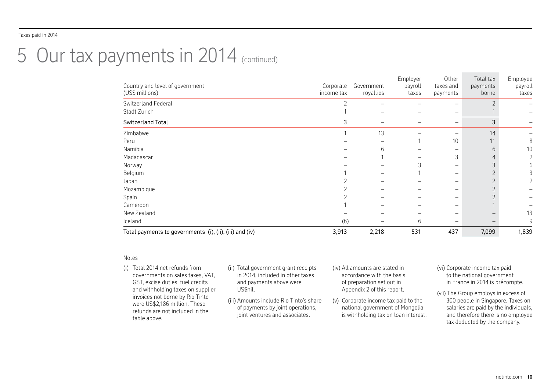# 5 Our tax payments in 2014 (continued)

| Total payments to governments (i), (ii), (iii) and (iv) | 3,913                   | 2,218                    | 531              | 437                   | 7,099             | 1,839            |
|---------------------------------------------------------|-------------------------|--------------------------|------------------|-----------------------|-------------------|------------------|
| Iceland                                                 | (6)                     | $\overline{\phantom{0}}$ | 6                | —                     |                   | 9                |
| New Zealand                                             |                         |                          |                  |                       |                   | 13               |
| Cameroon                                                |                         |                          |                  |                       |                   | -                |
| Spain                                                   |                         |                          |                  |                       |                   | -                |
| Mozambique                                              |                         |                          |                  |                       |                   | -                |
| Japan                                                   |                         |                          |                  |                       |                   |                  |
| Belgium                                                 |                         |                          |                  | —                     |                   |                  |
| Norway                                                  |                         |                          |                  |                       |                   |                  |
| Madagascar                                              |                         |                          |                  | 3                     |                   |                  |
| Namibia                                                 |                         | h                        |                  |                       | 6                 | 10               |
| Peru                                                    |                         |                          |                  | 10                    | 11                | 8                |
| Zimbabwe                                                |                         | 13                       |                  |                       | 14                |                  |
| Switzerland Total                                       | 3                       | $\overline{\phantom{0}}$ |                  | -                     | 3                 | -                |
| Stadt Zurich                                            |                         |                          |                  | $\qquad \qquad -$     |                   |                  |
| Switzerland Federal                                     | ာ                       |                          |                  |                       |                   |                  |
| Country and level of government<br>(US\$ millions)      | Corporate<br>income tax | Government<br>royalties  | payroll<br>taxes | taxes and<br>payments | payments<br>borne | payroll<br>taxes |
|                                                         |                         |                          | Employer         | Other                 | Total tax         | Employee         |

#### Notes

- (i) Total 2014 net refunds from governments on sales taxes, VAT, GST, excise duties, fuel credits and withholding taxes on supplier invoices not borne by Rio Tinto were US\$2,186 million. These refunds are not included in the table above. (ii) Total government grant receipts in 2014, included in other taxes and payments above were US\$nil. (iii) Amounts include Rio Tinto's share of payments by joint operations, joint ventures and associates.
	- (iv) All amounts are stated in accordance with the basis of preparation set out in Appendix 2 of this report.
	- (v) Corporate income tax paid to the national government of Mongolia is withholding tax on loan interest.
- (vi) Corporate income tax paid to the national government in France in 2014 is précompte.
- (vii) The Group employs in excess of 300 people in Singapore. Taxes on salaries are paid by the individuals, and therefore there is no employee tax deducted by the company.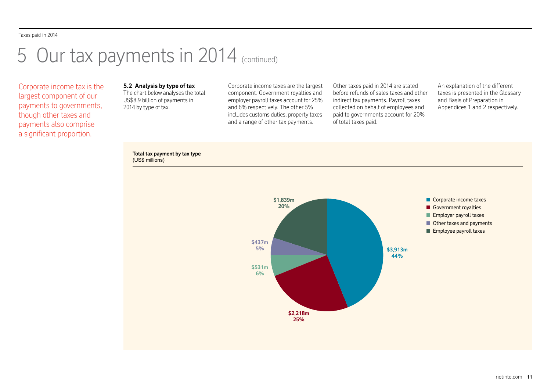# 5 Our tax payments in 2014 (continued)

Corporate income tax is the largest component of our payments to governments, though other taxes and payments also comprise a significant proportion.

# **5.2 Analysis by type of tax**

The chart below analyses the total US\$8.9 billion of payments in 2014 by type of tax.

Corporate income taxes are the largest component. Government royalties and employer payroll taxes account for 25% and 6% respectively. The other 5% includes customs duties, property taxes and a range of other tax payments.

Other taxes paid in 2014 are stated before refunds of sales taxes and other indirect tax payments. Payroll taxes collected on behalf of employees and paid to governments account for 20% of total taxes paid.

An explanation of the different taxes is presented in the Glossary and Basis of Preparation in Appendices 1 and 2 respectively.



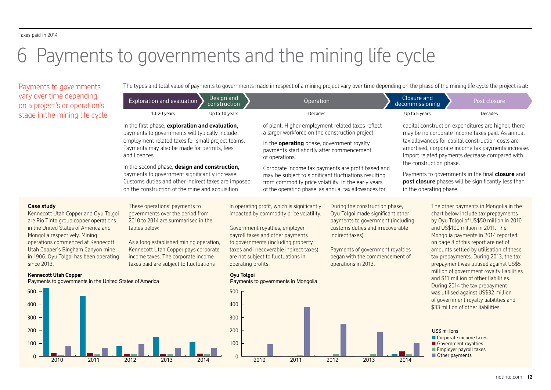# 6 Payments to governments and the mining life cycle

Payments to governments vary over time depend on a project's or opera stage in the mining life

The types and total value of payments to governments made in respect of a mining project vary over time depending on the phase of the mining life cycle the project is at:

| $\frac{1}{2}$                                                                                                                                                                                                                                                                                                 |                                                                                                                                                                                                                                                                                                                                                                                                                                     |                   |                                                                                                                                                                                                                                                                                                                                                                                                                                                       |              |                                                                                                                                                                                                                    |                                                                                            |                                                                                                                                                                                                                                                                                                                                                                                        |
|---------------------------------------------------------------------------------------------------------------------------------------------------------------------------------------------------------------------------------------------------------------------------------------------------------------|-------------------------------------------------------------------------------------------------------------------------------------------------------------------------------------------------------------------------------------------------------------------------------------------------------------------------------------------------------------------------------------------------------------------------------------|-------------------|-------------------------------------------------------------------------------------------------------------------------------------------------------------------------------------------------------------------------------------------------------------------------------------------------------------------------------------------------------------------------------------------------------------------------------------------------------|--------------|--------------------------------------------------------------------------------------------------------------------------------------------------------------------------------------------------------------------|--------------------------------------------------------------------------------------------|----------------------------------------------------------------------------------------------------------------------------------------------------------------------------------------------------------------------------------------------------------------------------------------------------------------------------------------------------------------------------------------|
| ry over time depending<br>a project's or operation's                                                                                                                                                                                                                                                          | Design and<br>Exploration and evaluation<br>construction                                                                                                                                                                                                                                                                                                                                                                            |                   | Operation                                                                                                                                                                                                                                                                                                                                                                                                                                             |              | Closure and<br>decommissioning                                                                                                                                                                                     |                                                                                            | Post closure                                                                                                                                                                                                                                                                                                                                                                           |
| age in the mining life cycle                                                                                                                                                                                                                                                                                  | 10-20 years<br>Up to 10 years                                                                                                                                                                                                                                                                                                                                                                                                       |                   | Decades                                                                                                                                                                                                                                                                                                                                                                                                                                               |              | Up to 5 years                                                                                                                                                                                                      |                                                                                            | <b>Decades</b>                                                                                                                                                                                                                                                                                                                                                                         |
|                                                                                                                                                                                                                                                                                                               | In the first phase, exploration and evaluation,<br>payments to governments will typically include<br>employment related taxes for small project teams.<br>Payments may also be made for permits, fees<br>and licences.<br>In the second phase, design and construction,<br>payments to government significantly increase.<br>Customs duties and other indirect taxes are imposed<br>on the construction of the mine and acquisition |                   | of plant. Higher employment related taxes reflect<br>a larger workforce on the construction project.<br>In the <b>operating</b> phase, government royalty<br>payments start shortly after commencement<br>of operations.<br>Corporate income tax payments are profit based and<br>may be subject to significant fluctuations resulting<br>from commodity price volatility. In the early years<br>of the operating phase, as annual tax allowances for |              | in the operating phase.                                                                                                                                                                                            | the construction phase.                                                                    | capital construction expenditures are higher, there<br>may be no corporate income taxes paid. As annual<br>tax allowances for capital construction costs are<br>amortised, corporate income tax payments increase.<br>Import related payments decrease compared with<br>Payments to governments in the final <b>closure</b> and<br>post closure phases will be significantly less than |
|                                                                                                                                                                                                                                                                                                               |                                                                                                                                                                                                                                                                                                                                                                                                                                     |                   |                                                                                                                                                                                                                                                                                                                                                                                                                                                       |              |                                                                                                                                                                                                                    |                                                                                            |                                                                                                                                                                                                                                                                                                                                                                                        |
| <b>Case study</b><br>Kennecott Utah Copper and Oyu Tolgoi<br>are Rio Tinto group copper operations<br>in the United States of America and<br>Mongolia respectively. Mining<br>operations commenced at Kennecott<br>Utah Copper's Bingham Canyon mine<br>in 1906. Oyu Tolgoi has been operating<br>since 2013. | These operations' payments to<br>governments over the period from<br>2010 to 2014 are summarised in the<br>tables below:<br>As a long established mining operation,<br>Kennecott Utah Copper pays corporate<br>income taxes. The corporate income<br>taxes paid are subject to fluctuations                                                                                                                                         |                   | in operating profit, which is significantly<br>impacted by commodity price volatility.<br>Government royalties, employer<br>payroll taxes and other payments<br>indirect taxes).<br>to governments (including property<br>taxes and irrecoverable indirect taxes)<br>are not subject to fluctuations in<br>operating profits.<br>operations in 2013.                                                                                                  |              | During the construction phase,<br>Oyu Tolgoi made significant other<br>payments to government (including<br>customs duties and irrecoverable<br>Payments of government royalties<br>began with the commencement of |                                                                                            | The other payments in Mongolia in the<br>chart below include tax prepayments<br>by Oyu Tolgoi of US\$50 million in 2010<br>and US\$100 million in 2011. The<br>Mongolia payments in 2014 reported<br>on page 8 of this report are net of<br>amounts settled by utilisation of these<br>tax prepayments. During 2013, the tax<br>prepayment was utilised against US\$5                  |
| <b>Kennecott Utah Copper</b><br>Payments to governments in the United States of America                                                                                                                                                                                                                       |                                                                                                                                                                                                                                                                                                                                                                                                                                     | <b>Oyu Tolgoi</b> | Payments to governments in Mongolia                                                                                                                                                                                                                                                                                                                                                                                                                   |              |                                                                                                                                                                                                                    |                                                                                            | million of government royalty liabilities<br>and \$11 million of other liabilities.                                                                                                                                                                                                                                                                                                    |
| 500<br>400                                                                                                                                                                                                                                                                                                    |                                                                                                                                                                                                                                                                                                                                                                                                                                     | 500<br>400        |                                                                                                                                                                                                                                                                                                                                                                                                                                                       |              |                                                                                                                                                                                                                    | \$33 million of other liabilities.                                                         | During 2014 the tax prepayment<br>was utilised against US\$32 million<br>of government royalty liabilities and                                                                                                                                                                                                                                                                         |
| 300<br>200                                                                                                                                                                                                                                                                                                    |                                                                                                                                                                                                                                                                                                                                                                                                                                     | 300<br>200        |                                                                                                                                                                                                                                                                                                                                                                                                                                                       |              |                                                                                                                                                                                                                    | <b>US\$ millions</b>                                                                       |                                                                                                                                                                                                                                                                                                                                                                                        |
| 100<br>$\Omega$<br>2011<br>2010                                                                                                                                                                                                                                                                               | 2013<br>2012<br>2014                                                                                                                                                                                                                                                                                                                                                                                                                | 100<br>$\Omega$   | 2010<br>2011                                                                                                                                                                                                                                                                                                                                                                                                                                          | 2012<br>2013 | 2014                                                                                                                                                                                                               | Corporate income taxes<br>Government royalties<br>Employer payroll taxes<br>Other payments |                                                                                                                                                                                                                                                                                                                                                                                        |

# **Kennecott Utah Copper**

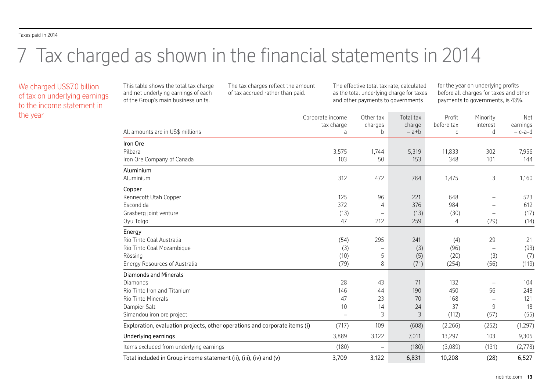# 7 Tax charged as shown in the financial statements in 2014

We charged US\$7.0 billion of tax on underlying earnings to the income statement in the year

This table shows the total tax charge and net underlying earnings of each of the Group's main business units.

The tax charges reflect the amount of tax accrued rather than paid.

The effective total tax rate, calculated as the total underlying charge for taxes and other payments to governments

for the year on underlying profits before all charges for taxes and other payments to governments, is 43%.

| All amounts are in US\$ millions                                           | Corporate income<br>tax charge<br>а | Other tax<br>charges<br>b | Total tax<br>charge<br>$= a + b$ | Profit<br>before tax<br>$\mathsf{C}$ | Minority<br>interest<br>d | Net<br>earnings<br>$= c-a-d$ |
|----------------------------------------------------------------------------|-------------------------------------|---------------------------|----------------------------------|--------------------------------------|---------------------------|------------------------------|
| Iron Ore                                                                   |                                     |                           |                                  |                                      |                           |                              |
| Pilbara                                                                    | 3,575                               | 1,744                     | 5,319                            | 11,833                               | 302                       | 7,956                        |
| Iron Ore Company of Canada                                                 | 103                                 | 50                        | 153                              | 348                                  | 101                       | 144                          |
| Aluminium                                                                  |                                     |                           |                                  |                                      |                           |                              |
| Aluminium                                                                  | 312                                 | 472                       | 784                              | 1,475                                | 3                         | 1,160                        |
| Copper                                                                     |                                     |                           |                                  |                                      |                           |                              |
| Kennecott Utah Copper                                                      | 125                                 | 96                        | 221                              | 648                                  | -                         | 523                          |
| Escondida                                                                  | 372                                 | 4                         | 376                              | 984                                  |                           | 612                          |
| Grasberg joint venture                                                     | (13)                                |                           | (13)                             | (30)                                 |                           | (17)                         |
| Oyu Tolgoi                                                                 | 47                                  | 212                       | 259                              | 4                                    | (29)                      | (14)                         |
| Energy                                                                     |                                     |                           |                                  |                                      |                           |                              |
| Rio Tinto Coal Australia                                                   | (54)                                | 295                       | 241                              | (4)                                  | 29                        | 21                           |
| Rio Tinto Coal Mozambique                                                  | (3)                                 |                           | (3)                              | (96)                                 |                           | (93)                         |
| Rössing                                                                    | (10)                                | 5                         | (5)                              | (20)                                 | (3)                       | (7)                          |
| <b>Energy Resources of Australia</b>                                       | (79)                                | 8                         | (71)                             | (254)                                | (56)                      | (119)                        |
| <b>Diamonds and Minerals</b>                                               |                                     |                           |                                  |                                      |                           |                              |
| Diamonds                                                                   | 28                                  | 43                        | 71                               | 132                                  |                           | 104                          |
| Rio Tinto Iron and Titanium                                                | 146                                 | 44                        | 190                              | 450                                  | 56                        | 248                          |
| Rio Tinto Minerals                                                         | 47                                  | 23                        | 70                               | 168                                  |                           | 121                          |
| Dampier Salt                                                               | 10                                  | 14                        | 24                               | 37                                   | 9                         | 18                           |
| Simandou iron ore project                                                  |                                     | 3                         | 3                                | (112)                                | (57)                      | (55)                         |
| Exploration, evaluation projects, other operations and corporate items (i) | (717)                               | 109                       | (608)                            | (2,266)                              | (252)                     | (1, 297)                     |
| Underlying earnings                                                        | 3,889                               | 3,122                     | 7,011                            | 13,297                               | 103                       | 9,305                        |
| Items excluded from underlying earnings                                    | (180)                               | $\qquad \qquad -$         | (180)                            | (3,089)                              | (131)                     | (2,778)                      |
| Total included in Group income statement (ii), (iii), (iv) and (v)         | 3,709                               | 3,122                     | 6,831                            | 10,208                               | (28)                      | 6,527                        |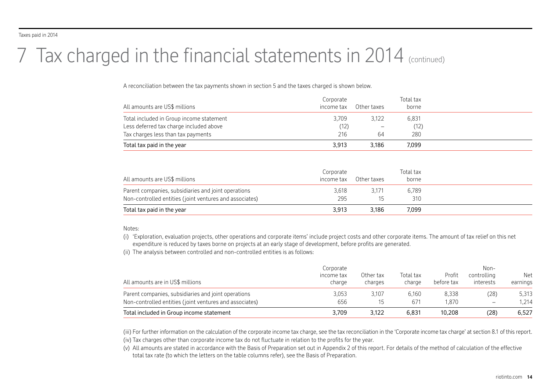# 7 Tax charged in the financial statements in 2014 (continued)

A reconciliation between the tax payments shown in section 5 and the taxes charged is shown below.

| All amounts are US\$ millions            | Corporate<br>income tax | Other taxes              | Total tax<br>borne |  |
|------------------------------------------|-------------------------|--------------------------|--------------------|--|
| Total included in Group income statement | 3,709                   | 3.122                    | 6,831              |  |
| Less deferred tax charge included above  | (12)                    | $\overline{\phantom{m}}$ | (12)               |  |
| Tax charges less than tax payments       | 216                     | 64                       | 280                |  |
| Total tax paid in the year               | 3.913                   | 3.186                    | 7.099              |  |
|                                          |                         |                          |                    |  |

| All amounts are US\$ millions                                                                                  | Corporate<br>income tax | Other taxes | Total tax<br>borne |  |
|----------------------------------------------------------------------------------------------------------------|-------------------------|-------------|--------------------|--|
| Parent companies, subsidiaries and joint operations<br>Non-controlled entities (joint ventures and associates) | 3.618<br>295            | 3.171       | 6,789<br>310       |  |
| Total tax paid in the year                                                                                     | 3.913                   | 3.186       | 7.099              |  |

## Notes:

(i) 'Exploration, evaluation projects, other operations and corporate items' include project costs and other corporate items. The amount of tax relief on this net expenditure is reduced by taxes borne on projects at an early stage of development, before profits are generated.

(ii) The analysis between controlled and non-controlled entities is as follows:

| All amounts are in US\$ millions                        | Corporate<br>income tax<br>charge | Other tax<br>charges | Total tax<br>charge | Profit<br>before tax | Non-<br>controlling<br>interests | Net<br>earnings |
|---------------------------------------------------------|-----------------------------------|----------------------|---------------------|----------------------|----------------------------------|-----------------|
| Parent companies, subsidiaries and joint operations     | 3,053                             | 3.107                | 6.160               | 8.338                | (28)                             | 5,313           |
| Non-controlled entities (joint ventures and associates) | 656                               |                      | 671                 | 1.870                | $\overline{\phantom{m}}$         | 1.214           |
| Total included in Group income statement                | 3,709                             | 3.122                | 6.831               | 10.208               | (28)                             | 6,527           |

(iii) For further information on the calculation of the corporate income tax charge, see the tax reconciliation in the 'Corporate income tax charge' at section 8.1 of this report.

(iv) Tax charges other than corporate income tax do not fluctuate in relation to the profits for the year.

(v) All amounts are stated in accordance with the Basis of Preparation set out in Appendix 2 of this report. For details of the method of calculation of the effective total tax rate (to which the letters on the table columns refer), see the Basis of Preparation.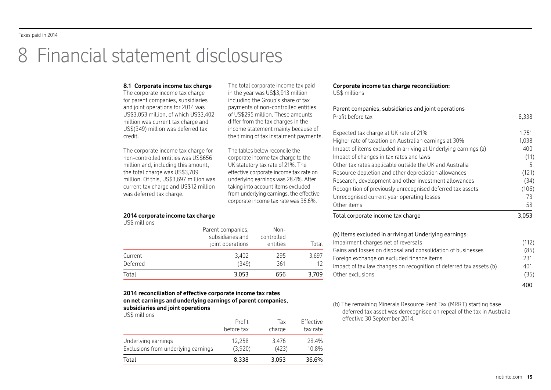# 8 Financial statement disclosures

#### **8.1 Corporate income tax charge** The corporate income tax charge for parent companies, subsidiaries and joint operations for 2014 was US\$3,053 million, of which US\$3,402 million was current tax charge and US\$(349) million was deferred tax The corporate income tax charge for non-controlled entities was US\$656 million and, including this amount, the total charge was US\$3,709 million. Of this, US\$3,697 million was current tax charge and US\$12 million was deferred tax charge. **Corporate income tax charge reconciliation:** US\$ millions Parent companies, subsidiaries and joint operations Profit before tax 8,338 Expected tax charge at UK rate of 21% 1,751 Higher rate of taxation on Australian earnings at 30% Impact of items excluded in arriving at Underlying earnings (a) 400 Impact of changes in tax rates and laws (11) Other tax rates applicable outside the UK and Australia 5 Resource depletion and other depreciation allowances (121) Research, development and other investment allowances (34) Recognition of previously unrecognised deferred tax assets (106) Unrecognised current year operating losses 73 Other items 58 Total corporate income tax charge 3,053 The total corporate income tax paid in the year was US\$3,913 million including the Group's share of tax payments of non-controlled entities of US\$295 million. These amounts differ from the tax charges in the income statement mainly because of the timing of tax instalment payments. The tables below reconcile the corporate income tax charge to the UK statutory tax rate of 21%. The effective corporate income tax rate on underlying earnings was 28.4%. After taking into account items excluded from underlying earnings, the effective corporate income tax rate was 36.6%.

### **2014 corporate income tax charge**

US\$ millions

credit.

| Total    | 3,053                                                     | 656                            | 3,709 |
|----------|-----------------------------------------------------------|--------------------------------|-------|
| Deferred | (349)                                                     | 361                            |       |
| Current  | 3,402                                                     | 295                            | 3,697 |
|          | Parent companies,<br>subsidiaries and<br>joint operations | Non-<br>controlled<br>entities | Total |

### **2014 reconciliation of effective corporate income tax rates on net earnings and underlying earnings of parent companies, subsidiaries and joint operations**

US\$ millions

| Total                               | 8,338      | 3,053  | 36.6%     |
|-------------------------------------|------------|--------|-----------|
| Underlying earnings                 | 12,258     | 3,476  | 28.4%     |
| Exclusions from underlying earnings | (3,920)    | (423)  | 10.8%     |
|                                     | Profit     | Tax    | Effective |
|                                     | before tax | charge | tax rate  |

# (a) Items excluded in arriving at Underlying earnings:

| Other exclusions                                                    |  | (35)  |
|---------------------------------------------------------------------|--|-------|
| Impact of tax law changes on recognition of deferred tax assets (b) |  | 401   |
| Foreign exchange on excluded finance items                          |  | 231   |
| Gains and losses on disposal and consolidation of businesses        |  | (85)  |
| Impairment charges net of reversals                                 |  | (112) |
|                                                                     |  |       |

(b) The remaining Minerals Resource Rent Tax (MRRT) starting base deferred tax asset was derecognised on repeal of the tax in Australia effective 30 September 2014.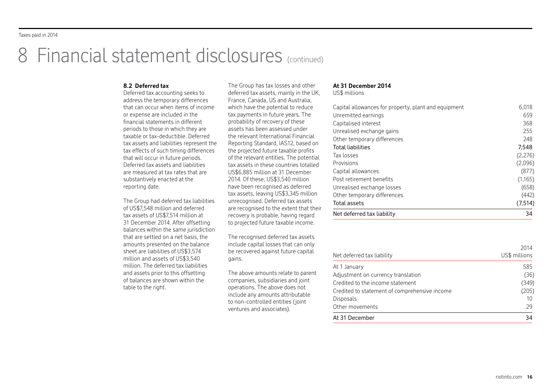# 8 Financial statement disclosures (continued)

### **8.2 Deferred tax**

Deferred tax accounting seeks to address the temporary differences that can occur when items of income or expense are included in the financial statements in different periods to those in which they are taxable or tax-deductible. Deferred tax assets and liabilities represent the tax effects of such timing differences that will occur in future periods. Deferred tax assets and liabilities are measured at tax rates that are substantively enacted at the reporting date.

The Group had deferred tax liabilities of US\$7,548 million and deferred tax assets of US\$7,514 million at 31 December 2014. After offsetting balances within the same jurisdiction that are settled on a net basis, the amounts presented on the balance sheet are liabilities of US\$3,574 million and assets of US\$3,540 million. The deferred tax liabilities and assets prior to this offsetting of balances are shown within the table to the right.

The Group has tax losses and other deferred tax assets, mainly in the UK, France, Canada, US and Australia, which have the potential to reduce tax payments in future years. The probability of recovery of these assets has been assessed under the relevant International Financial Reporting Standard, IAS12, based on the projected future taxable profits of the relevant entities. The potential tax assets in these countries totalled US\$6,885 million at 31 December 2014. Of these, US\$3,540 million have been recognised as deferred tax assets, leaving US\$3,345 million unrecognised. Deferred tax assets are recognised to the extent that their recovery is probable, having regard to projected future taxable income.

The recognised deferred tax assets include capital losses that can only be recovered against future capital gains.

The above amounts relate to parent companies, subsidiaries and joint operations. The above does not include any amounts attributable to non-controlled entities (joint ventures and associates).

### **At 31 December 2014**

US\$ millions

| Capital allowances for property, plant and equipment | 6.018    |
|------------------------------------------------------|----------|
| Unremitted earnings                                  | 659      |
| Capitalised interest                                 | 368      |
| Unrealised exchange gains                            | 255      |
| Other temporary differences                          | 248      |
| <b>Total liabilities</b>                             | 7,548    |
| Tax losses                                           | (2,276)  |
| Provisions                                           | (2,096)  |
| Capital allowances                                   | (877)    |
| Post retirement benefits                             | (1,165)  |
| Unrealised exchange losses                           | (658)    |
| Other temporary differences                          | (442)    |
| Total assets                                         | (7, 514) |
| Net deferred tax liability                           | 34       |

| Other movements                                            | 29                    |
|------------------------------------------------------------|-----------------------|
| Credited to statement of comprehensive income<br>Disposals | (205)<br>10           |
| Credited to the income statement                           | (349)                 |
| Adjustment on currency translation                         | (36)                  |
| At 1 January                                               | 585                   |
| Net deferred tax liability                                 | 2014<br>US\$ millions |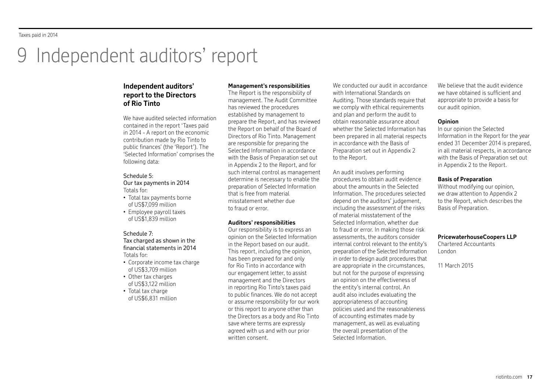# Independent auditors' report

# **Independent auditors' report to the Directors of Rio Tinto**

We have audited selected information contained in the report 'Taxes paid in 2014 - A report on the economic contribution made by Rio Tinto to public finances' (the 'Report'). The 'Selected Information' comprises the following data:

# Schedule 5:

Our tax payments in 2014 Totals for:

- Total tax payments borne of US\$7,099 million
- Employee payroll taxes of US\$1,839 million

### Schedule 7:

Tax charged as shown in the financial statements in 2014 Totals for:

- Corporate income tax charge of US\$3,709 million
- Other tax charges of US\$3,122 million
- Total tax charge of US\$6,831 million

# **Management's responsibilities**

The Report is the responsibility of management. The Audit Committee has reviewed the procedures established by management to prepare the Report, and has reviewed the Report on behalf of the Board of Directors of Rio Tinto. Management are responsible for preparing the Selected Information in accordance with the Basis of Preparation set out in Appendix 2 to the Report, and for such internal control as management determine is necessary to enable the preparation of Selected Information that is free from material misstatement whether due to fraud or error.

### **Auditors' responsibilities**

Our responsibility is to express an opinion on the Selected Information in the Report based on our audit. This report, including the opinion, has been prepared for and only for Rio Tinto in accordance with our engagement letter, to assist management and the Directors in reporting Rio Tinto's taxes paid to public finances. We do not accept or assume responsibility for our work or this report to anyone other than the Directors as a body and Rio Tinto save where terms are expressly agreed with us and with our prior written consent.

We conducted our audit in accordance with International Standards on Auditing. Those standards require that we comply with ethical requirements and plan and perform the audit to obtain reasonable assurance about whether the Selected Information has been prepared in all material respects in accordance with the Basis of Preparation set out in Appendix 2 to the Report.

An audit involves performing procedures to obtain audit evidence about the amounts in the Selected Information. The procedures selected depend on the auditors' judgement, including the assessment of the risks of material misstatement of the Selected Information, whether due to fraud or error. In making those risk assessments, the auditors consider internal control relevant to the entity's preparation of the Selected Information in order to design audit procedures that are appropriate in the circumstances, but not for the purpose of expressing an opinion on the effectiveness of the entity's internal control. An audit also includes evaluating the appropriateness of accounting policies used and the reasonableness of accounting estimates made by management, as well as evaluating the overall presentation of the Selected Information.

We believe that the audit evidence we have obtained is sufficient and appropriate to provide a basis for our audit opinion.

### **Opinion**

In our opinion the Selected Information in the Report for the year ended 31 December 2014 is prepared, in all material respects, in accordance with the Basis of Preparation set out in Appendix 2 to the Report.

### **Basis of Preparation**

Without modifying our opinion, we draw attention to Annendix 2 to the Report, which describes the Basis of Preparation.

### **PricewaterhouseCoopers LLP**

Chartered Accountants London

11 March 2015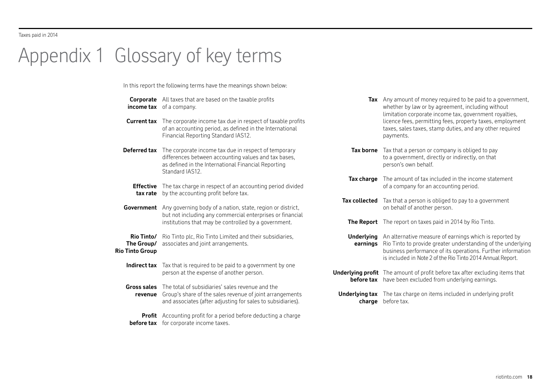# Appendix 1 Glossary of key terms

**Rio** 

In this report the following terms have the meanings shown below:

| income tax                                     | <b>Corporate</b> All taxes that are based on the taxable profits<br>of a company.                                                                                                      | Tax Ar                             | wł<br>lin            |
|------------------------------------------------|----------------------------------------------------------------------------------------------------------------------------------------------------------------------------------------|------------------------------------|----------------------|
| <b>Current tax</b>                             | The corporate income tax due in respect of taxable profits<br>of an accounting period, as defined in the International<br>Financial Reporting Standard IAS12.                          |                                    | lic<br>ta:<br>pa     |
| Deferred tax                                   | The corporate income tax due in respect of temporary<br>differences between accounting values and tax bases,<br>as defined in the International Financial Reporting<br>Standard IAS12. | <b>Tax borne</b>                   | Ta<br>to<br>рe       |
|                                                |                                                                                                                                                                                        | Tax charge                         | Τł                   |
| <b>Effective</b><br>tax rate                   | The tax charge in respect of an accounting period divided<br>by the accounting profit before tax.                                                                                      |                                    | of                   |
|                                                |                                                                                                                                                                                        | <b>Tax collected</b>               | Ta                   |
| Government                                     | Any governing body of a nation, state, region or district,<br>but not including any commercial enterprises or financial                                                                |                                    | or                   |
|                                                | institutions that may be controlled by a government.                                                                                                                                   | <b>The Report</b>                  | - Th                 |
| Rio Tinto/<br>The Group/<br><b>Tinto Group</b> | Rio Tinto plc, Rio Tinto Limited and their subsidiaries,<br>associates and joint arrangements.                                                                                         | <b>Underlying</b><br>earnings      | Ar<br>Ri<br>bι<br>is |
| Indirect tax                                   | Tax that is required to be paid to a government by one<br>person at the expense of another person.                                                                                     | Underlying profit Th<br>before tax | ha                   |
| <b>Gross sales</b><br>revenue                  | The total of subsidiaries' sales revenue and the<br>Group's share of the sales revenue of joint arrangements<br>and associates (after adjusting for sales to subsidiaries).            | Underlying tax<br>charge           | - Th<br>be           |
| <b>Profit</b><br>before tax                    | Accounting profit for a period before deducting a charge<br>for corporate income taxes.                                                                                                |                                    |                      |

- **Tax** Any amount of money required to be paid to a government, hether by law or by agreement, including without mitation corporate income tax, government royalties, cence fees, permitting fees, property taxes, employment axes, sales taxes, stamp duties, and any other required ayments.
- ax that a person or company is obliged to pay a government, directly or indirectly, on that person's own behalf.
- **Tax charge** The amount of tax included in the income statement f a company for an accounting period.
- ax that a person is obliged to pay to a government n behalf of another person.
- **The Report** The report on taxes paid in 2014 by Rio Tinto.
- n alternative measure of earnings which is reported by **earnings** Rio Tinto to provide greater understanding of the underlying usiness performance of its operations. Further information included in Note 2 of the Rio Tinto 2014 Annual Report.
- he amount of profit before tax after excluding items that ave been excluded from underlying earnings.
	- **Underlying tax** The tax charge on items included in underlying profit **efore** tax.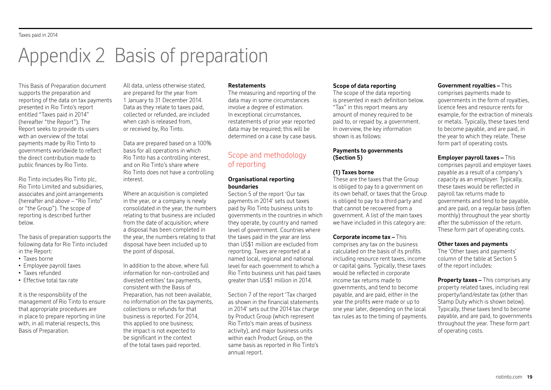# Appendix 2 Basis of preparation

This Basis of Preparation document supports the preparation and reporting of the data on tax payments presented in Rio Tinto's report entitled "Taxes paid in 2014" (hereafter "the Report"). The Report seeks to provide its users with an overview of the total payments made by Rio Tinto to governments worldwide to reflect the direct contribution made to public finances by Rio Tinto.

Rio Tinto includes Rio Tinto plc, Rio Tinto Limited and subsidiaries, associates and joint arrangements (hereafter and above – "Rio Tinto" or "the Group"). The scope of reporting is described further below.

The basis of preparation supports the following data for Rio Tinto included in the Report:

- Taxes borne
- Employee payroll taxes
- Taxes refunded
- Effective total tax rate

It is the responsibility of the management of Rio Tinto to ensure that appropriate procedures are in place to prepare reporting in line with, in all material respects, this Basis of Preparation.

All data, unless otherwise stated, are prepared for the year from 1 January to 31 December 2014. Data as they relate to taxes paid, collected or refunded, are included when cash is released from, or received by, Rio Tinto.

Data are prepared based on a 100% basis for all operations in which Rio Tinto has a controlling interest, and on Rio Tinto's share where Rio Tinto does not have a controlling interest.

Where an acquisition is completed in the year, or a company is newly consolidated in the year, the numbers relating to that business are included from the date of acquisition; where a disposal has been completed in the year, the numbers relating to that disposal have been included up to the point of disposal.

In addition to the above, where full information for non-controlled and divested entities' tax payments, consistent with the Basis of Preparation, has not been available, no information on the tax payments, collections or refunds for that business is reported. For 2014, this applied to one business; the impact is not expected to be significant in the context of the total taxes paid reported.

#### **Restatements**

The measuring and reporting of the data may in some circumstances involve a degree of estimation. In exceptional circumstances, restatements of prior year reported data may be required; this will be determined on a case by case basis.

# Scope and methodology of reporting

## **Organisational reporting boundaries**

Section 5 of the report 'Our tax payments in 2014' sets out taxes paid by Rio Tinto business units to governments in the countries in which they operate, by country and named level of government. Countries where the taxes paid in the year are less than US\$1 million are excluded from reporting. Taxes are reported at a named local, regional and national level for each government to which a Rio Tinto business unit has paid taxes greater than US\$1 million in 2014.

Section 7 of the report 'Tax charged as shown in the financial statements in 2014' sets out the 2014 tax charge by Product Group (which represent Rio Tinto's main areas of business activity), and major business units within each Product Group, on the same basis as reported in Rio Tinto's annual report.

### **Scope of data reporting**

The scope of the data reporting is presented in each definition below. "Tax" in this report means any amount of money required to be paid to, or repaid by, a government. In overview, the key information shown is as follows:

## **Payments to governments (Section 5)**

## **(1) Taxes borne**

These are the taxes that the Group is obliged to pay to a government on its own behalf, or taxes that the Group is obliged to pay to a third party and that cannot be recovered from a government. A list of the main taxes we have included in this category are:

## **Corporate income tax –** This

comprises any tax on the business calculated on the basis of its profits including resource rent taxes, income or capital gains. Typically, these taxes would be reflected in corporate income tax returns made to governments, and tend to become payable, and are paid, either in the year the profits were made or up to one year later, depending on the local tax rules as to the timing of payments.

#### **Government royalties –** This

comprises payments made to governments in the form of royalties, licence fees and resource rents for example, for the extraction of minerals or metals. Typically, these taxes tend to become payable, and are paid, in the year to which they relate. These form part of operating costs.

### **Employer payroll taxes –** This

comprises payroll and employer taxes payable as a result of a company's capacity as an employer. Typically, these taxes would be reflected in payroll tax returns made to governments and tend to be payable, and are paid, on a regular basis (often monthly) throughout the year shortly after the submission of the return. These form part of operating costs.

### **Other taxes and payments**

The 'Other taxes and payments' column of the table at Section 5 of the report includes:

**Property taxes –** This comprises any property related taxes, including real property/land/estate tax (other than Stamp Duty which is shown below). Typically, these taxes tend to become payable, and are paid, to governments throughout the year. These form part of operating costs.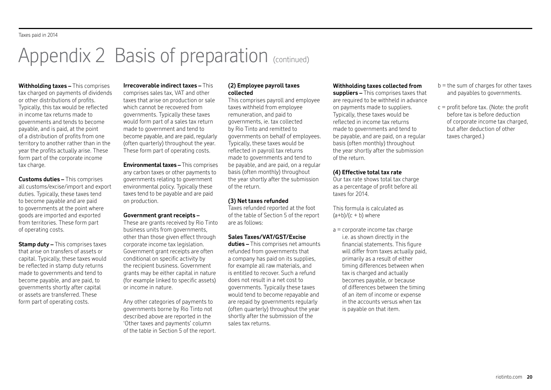# Appendix 2 Basis of preparation (continued)

**Withholding taxes –** This comprises tax charged on payments of dividends or other distributions of profits. Typically, this tax would be reflected in income tax returns made to governments and tends to become payable, and is paid, at the point of a distribution of profits from one territory to another rather than in the year the profits actually arise. These form part of the corporate income tax charge.

**Customs duties –** This comprises all customs/excise/import and export duties. Typically, these taxes tend to become payable and are paid to governments at the point where goods are imported and exported from territories. These form part of operating costs.

**Stamp duty –** This comprises taxes that arise on transfers of assets or capital. Typically, these taxes would be reflected in stamp duty returns made to governments and tend to become payable, and are paid, to governments shortly after capital or assets are transferred. These form part of operating costs.

# **Irrecoverable indirect taxes –** This

comprises sales tax, VAT and other taxes that arise on production or sale which cannot be recovered from governments. Typically these taxes would form part of a sales tax return made to government and tend to become payable, and are paid, regularly (often quarterly) throughout the year. These form part of operating costs.

**Environmental taxes – This comprises** any carbon taxes or other payments to governments relating to government environmental policy. Typically these taxes tend to be payable and are paid on production.

### **Government grant receipts –**

These are grants received by Rio Tinto business units from governments, other than those given effect through corporate income tax legislation. Government grant receipts are often conditional on specific activity by the recipient business. Government grants may be either capital in nature (for example linked to specific assets) or income in nature.

Any other categories of payments to governments borne by Rio Tinto not described above are reported in the 'Other taxes and payments' column of the table in Section 5 of the report.

### **(2) Employee payroll taxes collected**

This comprises payroll and employee taxes withheld from employee remuneration, and paid to governments, ie. tax collected by Rio Tinto and remitted to governments on behalf of employees. Typically, these taxes would be reflected in payroll tax returns made to governments and tend to be payable, and are paid, on a regular basis (often monthly) throughout the year shortly after the submission of the return.

# **(3) Net taxes refunded**

Taxes refunded reported at the foot of the table of Section 5 of the report are as follows:

# **Sales Taxes/VAT/GST/Excise**

**duties –** This comprises net amounts refunded from governments that a company has paid on its supplies, for example all raw materials, and is entitled to recover. Such a refund does not result in a net cost to governments. Typically these taxes would tend to become repayable and are repaid by governments regularly (often quarterly) throughout the year shortly after the submission of the sales tax returns.

# **Withholding taxes collected from**

**suppliers –** This comprises taxes that are required to be withheld in advance on payments made to suppliers. Typically, these taxes would be reflected in income tax returns made to governments and tend to be payable, and are paid, on a regular basis (often monthly) throughout the year shortly after the submission of the return.

## **(4) Effective total tax rate**

Our tax rate shows total tax charge as a percentage of profit before all taxes for 2014.

This formula is calculated as  $(a+b)/(c + b)$  where

a = corporate income tax charge i.e. as shown directly in the financial statements. This figure will differ from taxes actually paid, primarily as a result of either timing differences between when tax is charged and actually becomes payable, or because of differences between the timing of an item of income or expense in the accounts versus when tax is payable on that item.

- $b =$  the sum of charges for other taxes and payables to governments.
- $c$  = profit before tax. (Note: the profit before tax is before deduction of corporate income tax charged, but after deduction of other taxes charged.)